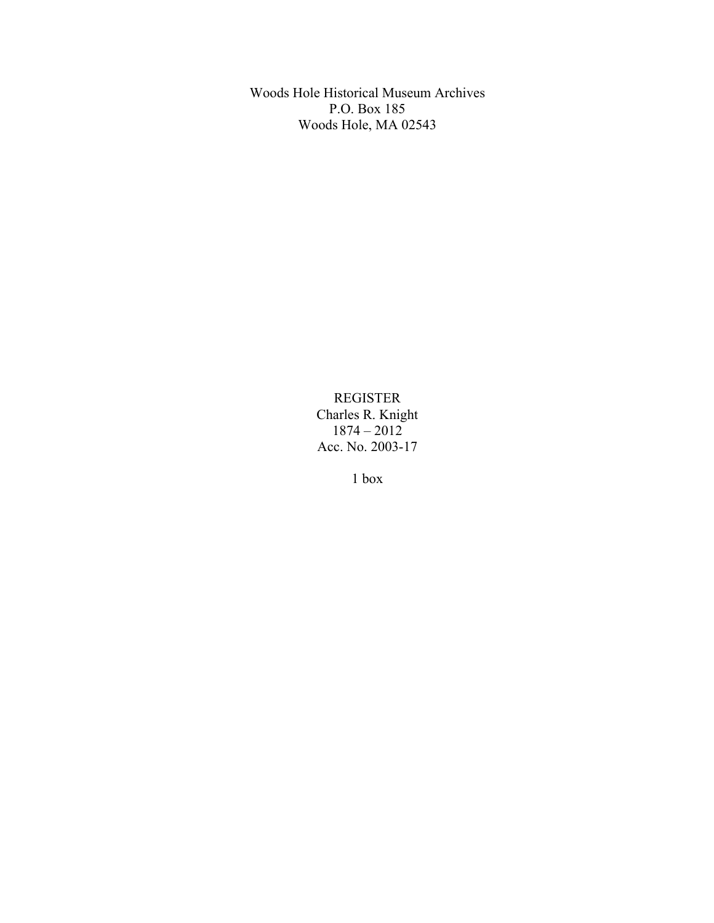Woods Hole Historical Museum Archives P.O. Box 185 Woods Hole, MA 02543

> REGISTER Charles R. Knight 1874 – 2012 Acc. No. 2003-17

> > 1 box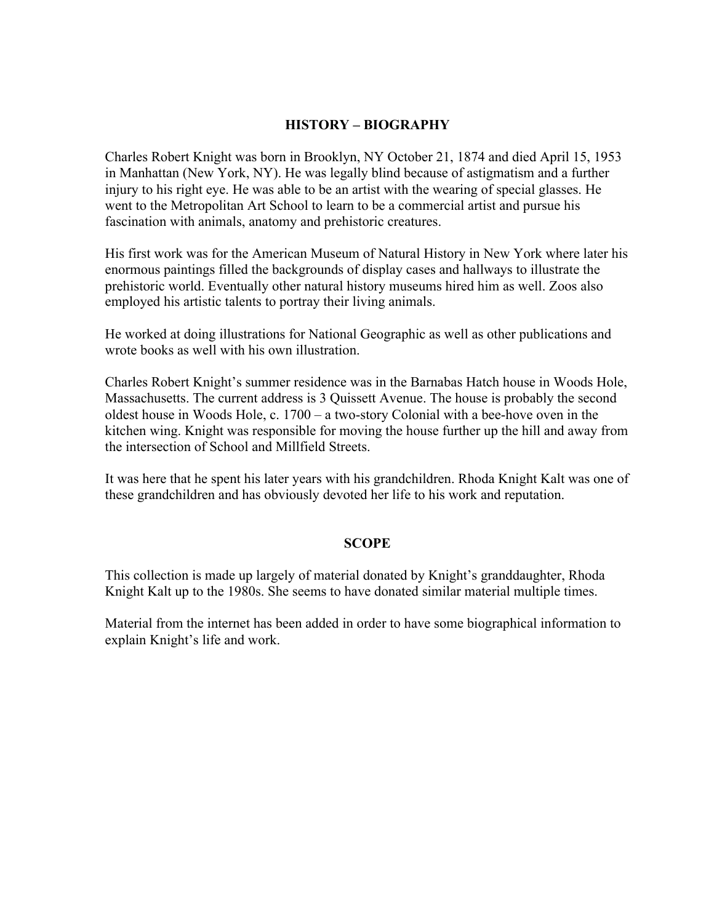## **HISTORY – BIOGRAPHY**

Charles Robert Knight was born in Brooklyn, NY October 21, 1874 and died April 15, 1953 in Manhattan (New York, NY). He was legally blind because of astigmatism and a further injury to his right eye. He was able to be an artist with the wearing of special glasses. He went to the Metropolitan Art School to learn to be a commercial artist and pursue his fascination with animals, anatomy and prehistoric creatures.

His first work was for the American Museum of Natural History in New York where later his enormous paintings filled the backgrounds of display cases and hallways to illustrate the prehistoric world. Eventually other natural history museums hired him as well. Zoos also employed his artistic talents to portray their living animals.

He worked at doing illustrations for National Geographic as well as other publications and wrote books as well with his own illustration.

Charles Robert Knight's summer residence was in the Barnabas Hatch house in Woods Hole, Massachusetts. The current address is 3 Quissett Avenue. The house is probably the second oldest house in Woods Hole, c. 1700 – a two-story Colonial with a bee-hove oven in the kitchen wing. Knight was responsible for moving the house further up the hill and away from the intersection of School and Millfield Streets.

It was here that he spent his later years with his grandchildren. Rhoda Knight Kalt was one of these grandchildren and has obviously devoted her life to his work and reputation.

## **SCOPE**

This collection is made up largely of material donated by Knight's granddaughter, Rhoda Knight Kalt up to the 1980s. She seems to have donated similar material multiple times.

Material from the internet has been added in order to have some biographical information to explain Knight's life and work.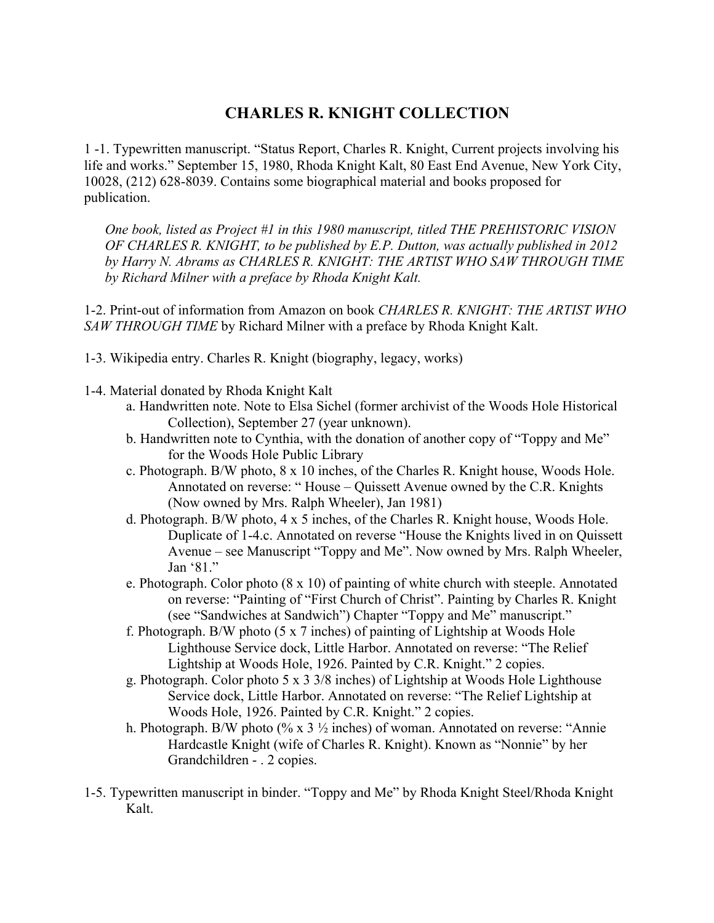## **CHARLES R. KNIGHT COLLECTION**

1 -1. Typewritten manuscript. "Status Report, Charles R. Knight, Current projects involving his life and works." September 15, 1980, Rhoda Knight Kalt, 80 East End Avenue, New York City, 10028, (212) 628-8039. Contains some biographical material and books proposed for publication.

*One book, listed as Project #1 in this 1980 manuscript, titled THE PREHISTORIC VISION OF CHARLES R. KNIGHT, to be published by E.P. Dutton, was actually published in 2012 by Harry N. Abrams as CHARLES R. KNIGHT: THE ARTIST WHO SAW THROUGH TIME by Richard Milner with a preface by Rhoda Knight Kalt.*

1-2. Print-out of information from Amazon on book *CHARLES R. KNIGHT: THE ARTIST WHO SAW THROUGH TIME* by Richard Milner with a preface by Rhoda Knight Kalt.

- 1-3. Wikipedia entry. Charles R. Knight (biography, legacy, works)
- 1-4. Material donated by Rhoda Knight Kalt
	- a. Handwritten note. Note to Elsa Sichel (former archivist of the Woods Hole Historical Collection), September 27 (year unknown).
	- b. Handwritten note to Cynthia, with the donation of another copy of "Toppy and Me" for the Woods Hole Public Library
	- c. Photograph. B/W photo, 8 x 10 inches, of the Charles R. Knight house, Woods Hole. Annotated on reverse: " House – Quissett Avenue owned by the C.R. Knights (Now owned by Mrs. Ralph Wheeler), Jan 1981)
	- d. Photograph. B/W photo, 4 x 5 inches, of the Charles R. Knight house, Woods Hole. Duplicate of 1-4.c. Annotated on reverse "House the Knights lived in on Quissett Avenue – see Manuscript "Toppy and Me". Now owned by Mrs. Ralph Wheeler, Jan '81."
	- e. Photograph. Color photo (8 x 10) of painting of white church with steeple. Annotated on reverse: "Painting of "First Church of Christ". Painting by Charles R. Knight (see "Sandwiches at Sandwich") Chapter "Toppy and Me" manuscript."
	- f. Photograph. B/W photo (5 x 7 inches) of painting of Lightship at Woods Hole Lighthouse Service dock, Little Harbor. Annotated on reverse: "The Relief Lightship at Woods Hole, 1926. Painted by C.R. Knight." 2 copies.
	- g. Photograph. Color photo 5 x 3 3/8 inches) of Lightship at Woods Hole Lighthouse Service dock, Little Harbor. Annotated on reverse: "The Relief Lightship at Woods Hole, 1926. Painted by C.R. Knight." 2 copies.
	- h. Photograph. B/W photo (% x 3  $\frac{1}{2}$  inches) of woman. Annotated on reverse: "Annie Hardcastle Knight (wife of Charles R. Knight). Known as "Nonnie" by her Grandchildren - . 2 copies.
- 1-5. Typewritten manuscript in binder. "Toppy and Me" by Rhoda Knight Steel/Rhoda Knight Kalt.